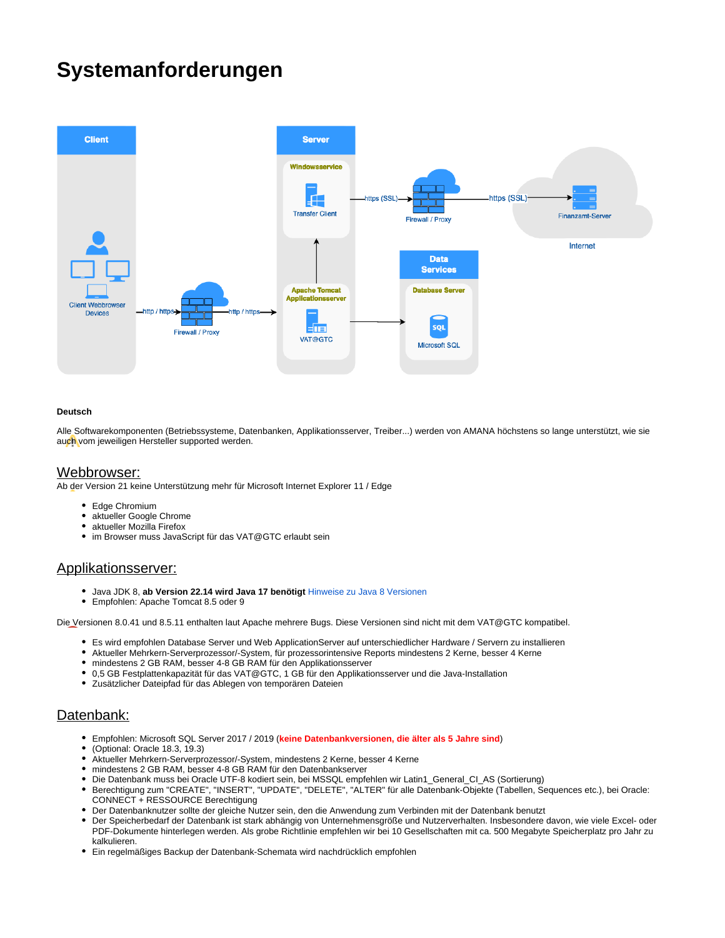# **Systemanforderungen**



#### **Deutsch**

Alle Softwarekomponenten (Betriebssysteme, Datenbanken, Applikationsserver, Treiber...) werden von AMANA höchstens so lange unterstützt, wie sie auch vom jeweiligen Hersteller supported werden.

#### Webbrowser:

Ab der Version 21 keine Unterstützung mehr für Microsoft Internet Explorer 11 / Edge

- Edge Chromium
- aktueller Google Chrome
- aktueller Mozilla Firefox
- im Browser muss JavaScript für das VAT@GTC erlaubt sein

### Applikationsserver:

- Java JDK 8, **ab Version 22.14 wird Java 17 benötigt** [Hinweise zu Java 8 Versionen](https://docs.amana.de/display/GTCD/Hinweise+zu+Java+8%2C+Oracle+und+OpenJDK)
- Empfohlen: Apache Tomcat 8.5 oder 9

Die Versionen 8.0.41 und 8.5.11 enthalten laut Apache mehrere Bugs. Diese Versionen sind nicht mit dem VAT@GTC kompatibel.

- Es wird empfohlen Database Server und Web ApplicationServer auf unterschiedlicher Hardware / Servern zu installieren
- Aktueller Mehrkern-Serverprozessor/-System, für prozessorintensive Reports mindestens 2 Kerne, besser 4 Kerne
- mindestens 2 GB RAM, besser 4-8 GB RAM für den Applikationsserver
- 0,5 GB Festplattenkapazität für das VAT@GTC, 1 GB für den Applikationsserver und die Java-Installation
- Zusätzlicher Dateipfad für das Ablegen von temporären Dateien

# Datenbank:

- Empfohlen: Microsoft SQL Server 2017 / 2019 (**keine Datenbankversionen, die älter als 5 Jahre sind**)
- (Optional: Oracle 18.3, 19.3)
- $\bullet$ Aktueller Mehrkern-Serverprozessor/-System, mindestens 2 Kerne, besser 4 Kerne
- mindestens 2 GB RAM, besser 4-8 GB RAM für den Datenbankserver
- Die Datenbank muss bei Oracle UTF-8 kodiert sein, bei MSSQL empfehlen wir Latin1\_General\_CI\_AS (Sortierung)
- Berechtigung zum "CREATE", "INSERT", "UPDATE", "DELETE", "ALTER" für alle Datenbank-Objekte (Tabellen, Sequences etc.), bei Oracle: CONNECT + RESSOURCE Berechtigung
- Der Datenbanknutzer sollte der gleiche Nutzer sein, den die Anwendung zum Verbinden mit der Datenbank benutzt
- Der Speicherbedarf der Datenbank ist stark abhängig von Unternehmensgröße und Nutzerverhalten. Insbesondere davon, wie viele Excel- oder PDF-Dokumente hinterlegen werden. Als grobe Richtlinie empfehlen wir bei 10 Gesellschaften mit ca. 500 Megabyte Speicherplatz pro Jahr zu kalkulieren.
- Ein regelmäßiges Backup der Datenbank-Schemata wird nachdrücklich empfohlen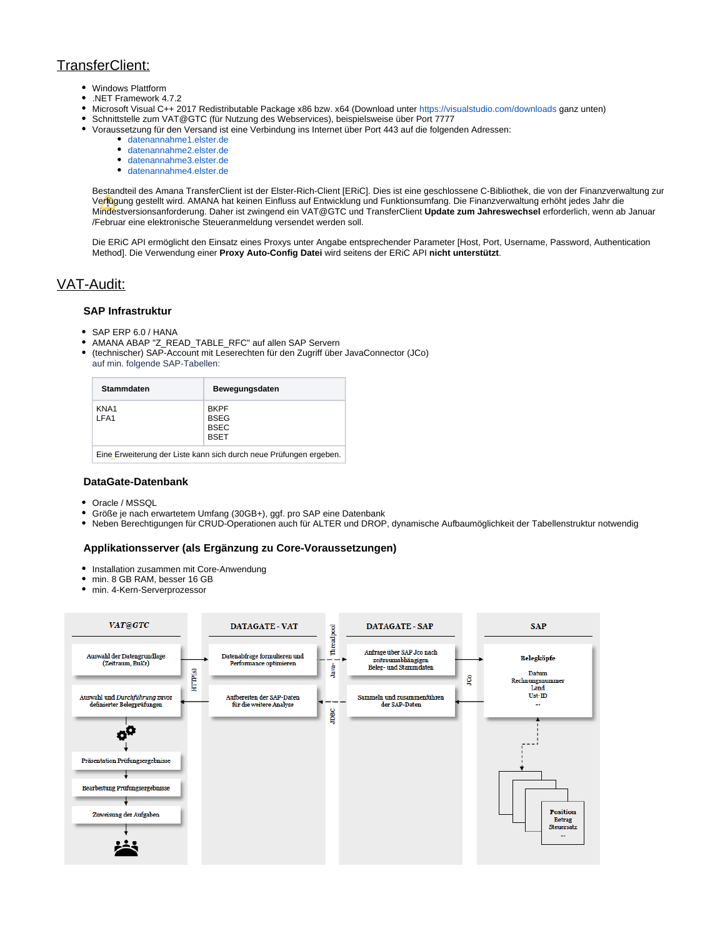# TransferClient:

- Windows Plattform
- .NET Framework 4.7.2
- $\bullet$ Microsoft Visual C++ 2017 Redistributable Package x86 bzw. x64 (Download unter<https://visualstudio.com/downloads> ganz unten)
- $\bullet$ Schnittstelle zum VAT@GTC (für Nutzung des Webservices), beispielsweise über Port 7777  $\bullet$ 
	- Voraussetzung für den Versand ist eine Verbindung ins Internet über Port 443 auf die folgenden Adressen:
		- [datenannahme1.elster.de](http://datenannahme1.elster.de/)
		- [datenannahme2.elster.de](http://datenannahme2.elster.de/)
		- [datenannahme3.elster.de](http://datenannahme3.elster.de/)
		- [datenannahme4.elster.de](http://datenannahme4.elster.de/)

Bestandteil des Amana TransferClient ist der Elster-Rich-Client [ERiC]. Dies ist eine geschlossene C-Bibliothek, die von der Finanzverwaltung zur Verfügung gestellt wird. AMANA hat keinen Einfluss auf Entwicklung und Funktionsumfang. Die Finanzverwaltung erhöht jedes Jahr die Mindestversionsanforderung. Daher ist zwingend ein VAT@GTC und TransferClient **Update zum Jahreswechsel** erforderlich, wenn ab Januar /Februar eine elektronische Steueranmeldung versendet werden soll.

Die ERiC API ermöglicht den Einsatz eines Proxys unter Angabe entsprechender Parameter [Host, Port, Username, Password, Authentication Method]. Die Verwendung einer **Proxy Auto-Config Datei** wird seitens der ERiC API **nicht unterstützt**.

# VAT-Audit:

# **SAP Infrastruktur**

- SAP ERP 6.0 / HANA
- AMANA ABAP "Z\_READ\_TABLE\_RFC" auf allen SAP Servern
- (technischer) SAP-Account mit Leserechten für den Zugriff über JavaConnector (JCo) auf min. folgende SAP-Tabellen:

| <b>Stammdaten</b>                                                  | Bewegungsdaten                                           |
|--------------------------------------------------------------------|----------------------------------------------------------|
| KNA1<br>LFA1                                                       | <b>BKPF</b><br><b>BSEG</b><br><b>BSEC</b><br><b>BSET</b> |
| Eine Erweiterung der Liste kann sich durch neue Prüfungen ergeben. |                                                          |

#### **DataGate-Datenbank**

- Oracle / MSSQL
- Größe je nach erwartetem Umfang (30GB+), ggf. pro SAP eine Datenbank
- $\bullet$ Neben Berechtigungen für CRUD-Operationen auch für ALTER und DROP, dynamische Aufbaumöglichkeit der Tabellenstruktur notwendig

### **Applikationsserver (als Ergänzung zu Core-Voraussetzungen)**

- Installation zusammen mit Core-Anwendung
- min. 8 GB RAM, besser 16 GB
- min. 4-Kern-Serverprozessor

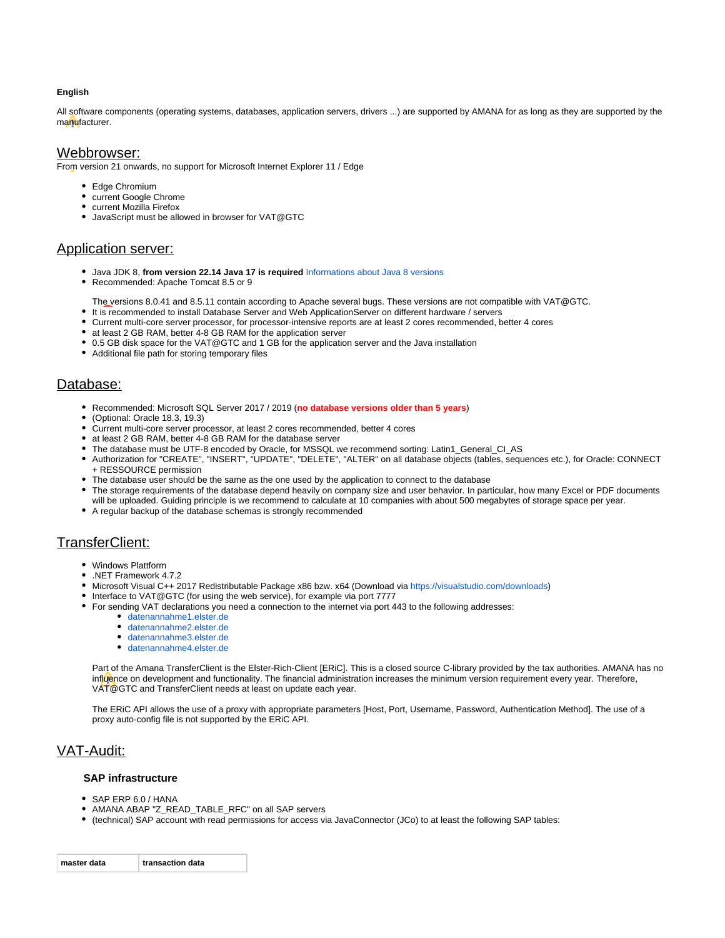#### **English**

All software components (operating systems, databases, application servers, drivers ...) are supported by AMANA for as long as they are supported by the manufacturer.

### Webbrowser:

From version 21 onwards, no support for Microsoft Internet Explorer 11 / Edge

- Edge Chromium
- current Google Chrome
- current Mozilla Firefox
- JavaScript must be allowed in browser for VAT@GTC

# Application server:

- Java JDK 8, **from version 22.14 Java 17 is required** [Informations about Java 8 versions](https://docs.amana.de/display/GTCD/Hinweise+zu+Java+8%2C+Oracle+und+OpenJDK)
- Recommended: Apache Tomcat 8.5 or 9
	- The versions 8.0.41 and 8.5.11 contain according to Apache several bugs. These versions are not compatible with VAT@GTC.
- It is recommended to install Database Server and Web ApplicationServer on different hardware / servers
- Current multi-core server processor, for processor-intensive reports are at least 2 cores recommended, better 4 cores
- at least 2 GB RAM, better 4-8 GB RAM for the application server
- 0.5 GB disk space for the VAT@GTC and 1 GB for the application server and the Java installation
- Additional file path for storing temporary files

# Database:

- Recommended: Microsoft SQL Server 2017 / 2019 (**no database versions older than 5 years**)
- (Optional: Oracle 18.3, 19.3)
- Current multi-core server processor, at least 2 cores recommended, better 4 cores
- at least 2 GB RAM, better 4-8 GB RAM for the database server
- The database must be UTF-8 encoded by Oracle, for MSSQL we recommend sorting: Latin1\_General\_CI\_AS
- Authorization for "CREATE", "INSERT", "UPDATE", "DELETE", "ALTER" on all database objects (tables, sequences etc.), for Oracle: CONNECT + RESSOURCE permission
- The database user should be the same as the one used by the application to connect to the database
- The storage requirements of the database depend heavily on company size and user behavior. In particular, how many Excel or PDF documents will be uploaded. Guiding principle is we recommend to calculate at 10 companies with about 500 megabytes of storage space per year.
- A regular backup of the database schemas is strongly recommended

# TransferClient:

- Windows Plattform
- .NET Framework 4.7.2
- Microsoft Visual C++ 2017 Redistributable Package x86 bzw. x64 (Download via [https://visualstudio.com/downloads\)](https://visualstudio.com/downloads)
- Interface to VAT@GTC (for using the web service), for example via port 7777
- For sending VAT declarations you need a connection to the internet via port 443 to the following addresses:
	- [datenannahme1.elster.de](http://datenannahme1.elster.de/)
	- [datenannahme2.elster.de](http://datenannahme2.elster.de/)
	- [datenannahme3.elster.de](http://datenannahme3.elster.de/)
	- [datenannahme4.elster.de](http://datenannahme4.elster.de/)

Part of the Amana TransferClient is the Elster-Rich-Client [ERiC]. This is a closed source C-library provided by the tax authorities. AMANA has no influence on development and functionality. The financial administration increases the minimum version requirement every year. Therefore, VAT@GTC and TransferClient needs at least on update each year.

The ERiC API allows the use of a proxy with appropriate parameters [Host, Port, Username, Password, Authentication Method]. The use of a proxy auto-config file is not supported by the ERiC API.

# VAT-Audit:

#### **SAP infrastructure**

- SAP ERP 6.0 / HANA
- AMANA ABAP "Z\_READ\_TABLE\_RFC" on all SAP servers
- (technical) SAP account with read permissions for access via JavaConnector (JCo) to at least the following SAP tables:

| master data | transaction data |
|-------------|------------------|
|             |                  |